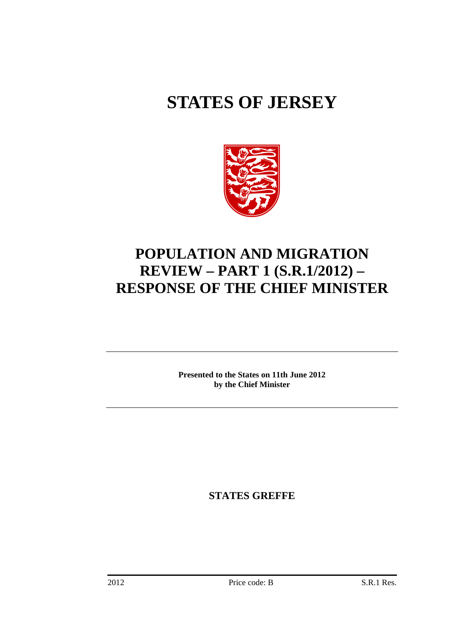# **STATES OF JERSEY**



# **POPULATION AND MIGRATION REVIEW – PART 1 (S.R.1/2012) – RESPONSE OF THE CHIEF MINISTER**

**Presented to the States on 11th June 2012 by the Chief Minister** 

**STATES GREFFE**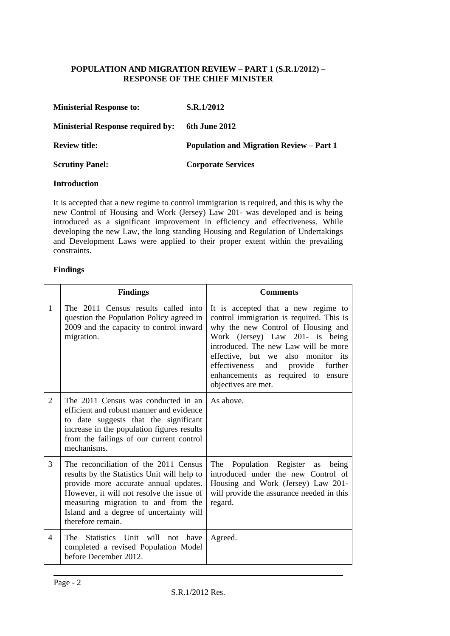# **POPULATION AND MIGRATION REVIEW – PART 1 (S.R.1/2012) – RESPONSE OF THE CHIEF MINISTER**

| <b>Ministerial Response to:</b>          | S.R.1/2012                                      |
|------------------------------------------|-------------------------------------------------|
| <b>Ministerial Response required by:</b> | 6th June 2012                                   |
| <b>Review title:</b>                     | <b>Population and Migration Review – Part 1</b> |
| <b>Scrutiny Panel:</b>                   | <b>Corporate Services</b>                       |

### **Introduction**

It is accepted that a new regime to control immigration is required, and this is why the new Control of Housing and Work (Jersey) Law 201- was developed and is being introduced as a significant improvement in efficiency and effectiveness. While developing the new Law, the long standing Housing and Regulation of Undertakings and Development Laws were applied to their proper extent within the prevailing constraints.

## **Findings**

|                | <b>Findings</b>                                                                                                                                                                                                                                                                   | <b>Comments</b>                                                                                                                                                                                                                                                                                                                                |  |  |
|----------------|-----------------------------------------------------------------------------------------------------------------------------------------------------------------------------------------------------------------------------------------------------------------------------------|------------------------------------------------------------------------------------------------------------------------------------------------------------------------------------------------------------------------------------------------------------------------------------------------------------------------------------------------|--|--|
| 1              | The 2011 Census results called into<br>question the Population Policy agreed in<br>2009 and the capacity to control inward<br>migration.                                                                                                                                          | It is accepted that a new regime to<br>control immigration is required. This is<br>why the new Control of Housing and<br>Work (Jersey) Law 201- is being<br>introduced. The new Law will be more<br>effective, but we also monitor its<br>effectiveness<br>and provide<br>further<br>enhancements as required to ensure<br>objectives are met. |  |  |
| $\overline{2}$ | The 2011 Census was conducted in an<br>efficient and robust manner and evidence<br>to date suggests that the significant<br>increase in the population figures results<br>from the failings of our current control<br>mechanisms.                                                 | As above.                                                                                                                                                                                                                                                                                                                                      |  |  |
| 3              | The reconciliation of the 2011 Census<br>results by the Statistics Unit will help to<br>provide more accurate annual updates.<br>However, it will not resolve the issue of<br>measuring migration to and from the<br>Island and a degree of uncertainty will<br>therefore remain. | The<br>Population Register as<br>being<br>introduced under the new Control of<br>Housing and Work (Jersey) Law 201-<br>will provide the assurance needed in this<br>regard.                                                                                                                                                                    |  |  |
| $\overline{4}$ | The Statistics Unit will not have<br>completed a revised Population Model<br>before December 2012.                                                                                                                                                                                | Agreed.                                                                                                                                                                                                                                                                                                                                        |  |  |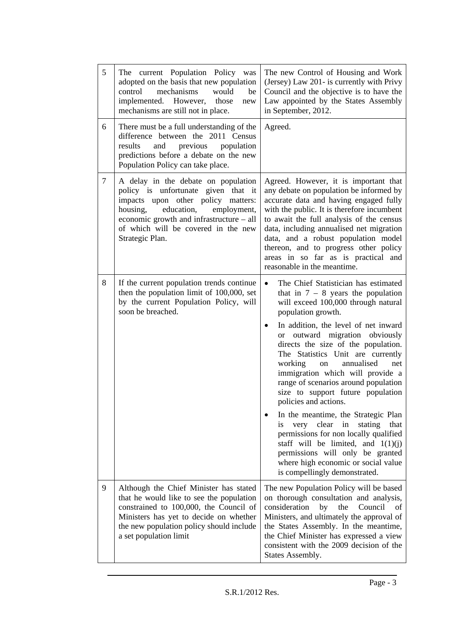| 5              | The current Population Policy<br>was<br>adopted on the basis that new population<br>mechanisms<br>would<br>control<br>be<br>implemented. However,<br>those<br>new<br>mechanisms are still not in place.                                                         | The new Control of Housing and Work<br>(Jersey) Law 201- is currently with Privy<br>Council and the objective is to have the<br>Law appointed by the States Assembly<br>in September, 2012.                                                                                                                                                                                                                                                                                                                                                                                                                                                                                                                                                                                       |  |  |
|----------------|-----------------------------------------------------------------------------------------------------------------------------------------------------------------------------------------------------------------------------------------------------------------|-----------------------------------------------------------------------------------------------------------------------------------------------------------------------------------------------------------------------------------------------------------------------------------------------------------------------------------------------------------------------------------------------------------------------------------------------------------------------------------------------------------------------------------------------------------------------------------------------------------------------------------------------------------------------------------------------------------------------------------------------------------------------------------|--|--|
| 6              | There must be a full understanding of the<br>difference between the 2011 Census<br>results<br>and<br>previous<br>population<br>predictions before a debate on the new<br>Population Policy can take place.                                                      | Agreed.                                                                                                                                                                                                                                                                                                                                                                                                                                                                                                                                                                                                                                                                                                                                                                           |  |  |
| $\overline{7}$ | A delay in the debate on population<br>policy is unfortunate given that it<br>impacts upon other policy matters:<br>housing,<br>education,<br>employment,<br>economic growth and infrastructure – all<br>of which will be covered in the new<br>Strategic Plan. | Agreed. However, it is important that<br>any debate on population be informed by<br>accurate data and having engaged fully<br>with the public. It is therefore incumbent<br>to await the full analysis of the census<br>data, including annualised net migration<br>data, and a robust population model<br>thereon, and to progress other policy<br>areas in so far as is practical and<br>reasonable in the meantime.                                                                                                                                                                                                                                                                                                                                                            |  |  |
| 8              | If the current population trends continue<br>then the population limit of 100,000, set<br>by the current Population Policy, will<br>soon be breached.                                                                                                           | The Chief Statistician has estimated<br>$\bullet$<br>that in $7 - 8$ years the population<br>will exceed 100,000 through natural<br>population growth.<br>In addition, the level of net inward<br>or outward migration obviously<br>directs the size of the population.<br>The Statistics Unit are currently<br>annualised<br>working<br>net<br>on<br>immigration which will provide a<br>range of scenarios around population<br>size to support future population<br>policies and actions.<br>In the meantime, the Strategic Plan<br>very clear in<br>stating<br>that<br><i>is</i><br>permissions for non locally qualified<br>staff will be limited, and $1(1)(i)$<br>permissions will only be granted<br>where high economic or social value<br>is compellingly demonstrated. |  |  |
| 9              | Although the Chief Minister has stated<br>that he would like to see the population<br>constrained to 100,000, the Council of<br>Ministers has yet to decide on whether<br>the new population policy should include<br>a set population limit                    | The new Population Policy will be based<br>on thorough consultation and analysis,<br>consideration<br>by<br>Council<br>the<br>οť<br>Ministers, and ultimately the approval of<br>the States Assembly. In the meantime,<br>the Chief Minister has expressed a view<br>consistent with the 2009 decision of the<br><b>States Assembly.</b>                                                                                                                                                                                                                                                                                                                                                                                                                                          |  |  |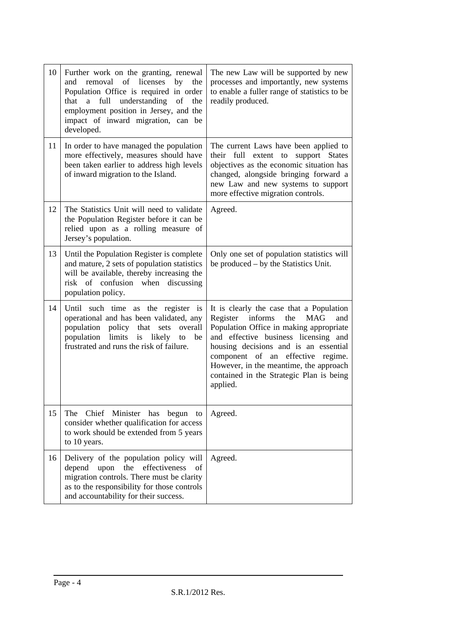| Further work on the granting, renewal<br>removal of licenses<br>and<br>by the<br>Population Office is required in order<br>that a full<br>understanding of<br>the<br>employment position in Jersey, and the<br>impact of inward migration, can be<br>developed. | The new Law will be supported by new<br>processes and importantly, new systems<br>to enable a fuller range of statistics to be<br>readily produced.                                                                                                                                                                                                         |
|-----------------------------------------------------------------------------------------------------------------------------------------------------------------------------------------------------------------------------------------------------------------|-------------------------------------------------------------------------------------------------------------------------------------------------------------------------------------------------------------------------------------------------------------------------------------------------------------------------------------------------------------|
| In order to have managed the population<br>more effectively, measures should have<br>been taken earlier to address high levels<br>of inward migration to the Island.                                                                                            | The current Laws have been applied to<br>their full extent to support States<br>objectives as the economic situation has<br>changed, alongside bringing forward a<br>new Law and new systems to support<br>more effective migration controls.                                                                                                               |
| The Statistics Unit will need to validate<br>the Population Register before it can be<br>relied upon as a rolling measure of<br>Jersey's population.                                                                                                            | Agreed.                                                                                                                                                                                                                                                                                                                                                     |
| Until the Population Register is complete<br>and mature, 2 sets of population statistics<br>will be available, thereby increasing the<br>risk of confusion when discussing<br>population policy.                                                                | Only one set of population statistics will<br>be produced – by the Statistics Unit.                                                                                                                                                                                                                                                                         |
| Until such time as the register is<br>operational and has been validated, any<br>population policy that sets overall<br>population<br>limits is likely<br>be<br>to<br>frustrated and runs the risk of failure.                                                  | It is clearly the case that a Population<br>Register informs<br><b>MAG</b><br>the<br>and<br>Population Office in making appropriate<br>and effective business licensing and<br>housing decisions and is an essential<br>component of an effective regime.<br>However, in the meantime, the approach<br>contained in the Strategic Plan is being<br>applied. |
| The<br>Chief Minister has begun to<br>consider whether qualification for access<br>to work should be extended from 5 years<br>to 10 years.                                                                                                                      | Agreed.                                                                                                                                                                                                                                                                                                                                                     |
| Delivery of the population policy will<br>the<br>effectiveness<br>depend<br>upon<br>of<br>migration controls. There must be clarity<br>as to the responsibility for those controls<br>and accountability for their success.                                     | Agreed.                                                                                                                                                                                                                                                                                                                                                     |
|                                                                                                                                                                                                                                                                 |                                                                                                                                                                                                                                                                                                                                                             |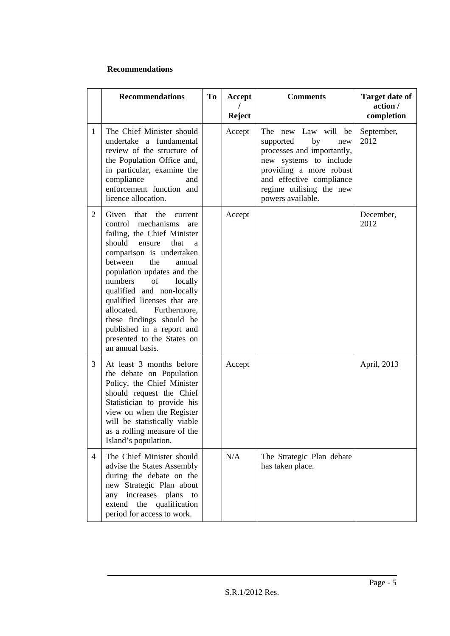### **Recommendations**

|                | <b>Recommendations</b>                                                                                                                                                                                                                                                                                                                                                                                                                                 | <b>To</b> | Accept        | <b>Comments</b>                                                                                                                                                                                               | <b>Target date of</b><br>action / |
|----------------|--------------------------------------------------------------------------------------------------------------------------------------------------------------------------------------------------------------------------------------------------------------------------------------------------------------------------------------------------------------------------------------------------------------------------------------------------------|-----------|---------------|---------------------------------------------------------------------------------------------------------------------------------------------------------------------------------------------------------------|-----------------------------------|
|                |                                                                                                                                                                                                                                                                                                                                                                                                                                                        |           | <b>Reject</b> |                                                                                                                                                                                                               | completion                        |
| $\mathbf{1}$   | The Chief Minister should<br>undertake a fundamental<br>review of the structure of<br>the Population Office and,<br>in particular, examine the<br>compliance<br>and<br>enforcement function and<br>licence allocation.                                                                                                                                                                                                                                 |           | Accept        | The new Law will be<br>by<br>supported<br>new<br>processes and importantly,<br>new systems to include<br>providing a more robust<br>and effective compliance<br>regime utilising the new<br>powers available. | September,<br>2012                |
| $\overline{2}$ | Given<br>that<br>the<br>current<br>mechanisms<br>control<br>are<br>failing, the Chief Minister<br>should<br>that<br>ensure<br>a<br>comparison is undertaken<br>the<br>between<br>annual<br>population updates and the<br>numbers<br>of<br>locally<br>qualified and non-locally<br>qualified licenses that are<br>allocated.<br>Furthermore,<br>these findings should be<br>published in a report and<br>presented to the States on<br>an annual basis. |           | Accept        |                                                                                                                                                                                                               | December,<br>2012                 |
| 3              | At least 3 months before<br>the debate on Population<br>Policy, the Chief Minister<br>should request the Chief<br>Statistician to provide his<br>view on when the Register<br>will be statistically viable<br>as a rolling measure of the<br>Island's population.                                                                                                                                                                                      |           | Accept        |                                                                                                                                                                                                               | April, 2013                       |
| $\overline{4}$ | The Chief Minister should<br>advise the States Assembly<br>during the debate on the<br>new Strategic Plan about<br>any increases plans<br>to<br>the<br>qualification<br>extend<br>period for access to work.                                                                                                                                                                                                                                           |           | N/A           | The Strategic Plan debate<br>has taken place.                                                                                                                                                                 |                                   |